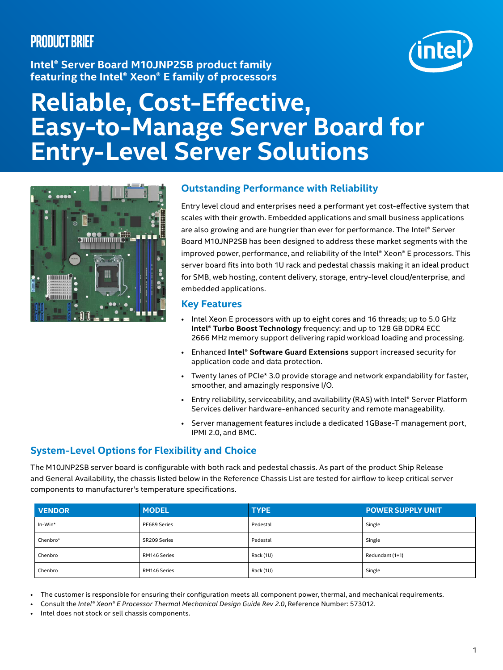## **Product brief**

**Intel® Server Board M10JNP2SB product family featuring the Intel® Xeon® E family of processors**

# **Reliable, Cost-Effective, Easy-to-Manage Server Board for Entry-Level Server Solutions**



### **Outstanding Performance with Reliability**

Entry level cloud and enterprises need a performant yet cost-effective system that scales with their growth. Embedded applications and small business applications are also growing and are hungrier than ever for performance. The Intel® Server Board M10JNP2SB has been designed to address these market segments with the improved power, performance, and reliability of the Intel® Xeon® E processors. This server board fits into both 1U rack and pedestal chassis making it an ideal product for SMB, web hosting, content delivery, storage, entry-level cloud/enterprise, and embedded applications.

#### **Key Features**

- Intel Xeon E processors with up to eight cores and 16 threads; up to 5.0 GHz **Intel® Turbo Boost Technology** frequency; and up to 128 GB DDR4 ECC 2666 MHz memory support delivering rapid workload loading and processing.
- Enhanced **Intel® Software Guard Extensions** support increased security for application code and data protection.
- Twenty lanes of PCIe\* 3.0 provide storage and network expandability for faster, smoother, and amazingly responsive I/O.
- Entry reliability, serviceability, and availability (RAS) with Intel® Server Platform Services deliver hardware-enhanced security and remote manageability.
- Server management features include a dedicated 1GBase-T management port, IPMI 2.0, and BMC.

#### **System-Level Options for Flexibility and Choice**

The M10JNP2SB server board is configurable with both rack and pedestal chassis. As part of the product Ship Release and General Availability, the chassis listed below in the Reference Chassis List are tested for airflow to keep critical server components to manufacturer's temperature specifications.

| <b>VENDOR</b> | <b>MODEL</b> | <b>TYPE</b> | <b>POWER SUPPLY UNIT</b> |
|---------------|--------------|-------------|--------------------------|
| $In-Win*$     | PE689 Series | Pedestal    | Single                   |
| Chenbro*      | SR209 Series | Pedestal    | Single                   |
| Chenbro       | RM146 Series | Rack (1U)   | Redundant (1+1)          |
| Chenbro       | RM146 Series | Rack (1U)   | Single                   |

• The customer is responsible for ensuring their configuration meets all component power, thermal, and mechanical requirements.

- Consult the *Intel® Xeon® E Processor Thermal Mechanical Design Guide Rev 2.0*, Reference Number: 573012.
- Intel does not stock or sell chassis components.